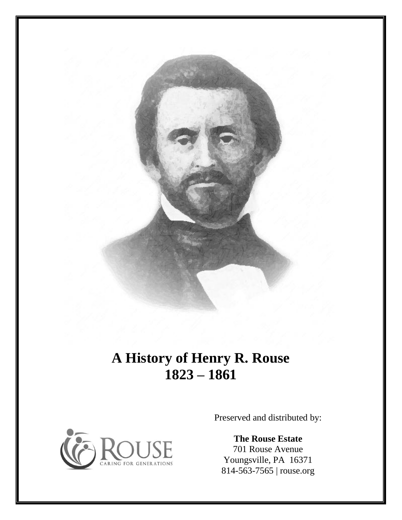

## **A History of Henry R. Rouse 1823 – 1861**



Preserved and distributed by:

**The Rouse Estate** 701 Rouse Avenue Youngsville, PA 16371 814-563-7565 | rouse.org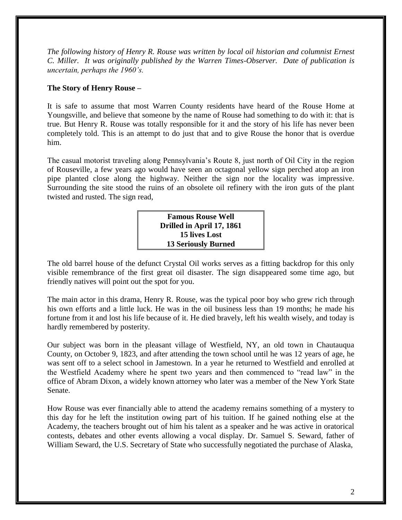*The following history of Henry R. Rouse was written by local oil historian and columnist Ernest C. Miller. It was originally published by the Warren Times-Observer. Date of publication is uncertain, perhaps the 1960's.*

## **The Story of Henry Rouse –**

It is safe to assume that most Warren County residents have heard of the Rouse Home at Youngsville, and believe that someone by the name of Rouse had something to do with it: that is true. But Henry R. Rouse was totally responsible for it and the story of his life has never been completely told. This is an attempt to do just that and to give Rouse the honor that is overdue him.

The casual motorist traveling along Pennsylvania's Route 8, just north of Oil City in the region of Rouseville, a few years ago would have seen an octagonal yellow sign perched atop an iron pipe planted close along the highway. Neither the sign nor the locality was impressive. Surrounding the site stood the ruins of an obsolete oil refinery with the iron guts of the plant twisted and rusted. The sign read,

## **Famous Rouse Well Drilled in April 17, 1861 15 lives Lost 13 Seriously Burned**

The old barrel house of the defunct Crystal Oil works serves as a fitting backdrop for this only visible remembrance of the first great oil disaster. The sign disappeared some time ago, but friendly natives will point out the spot for you.

The main actor in this drama, Henry R. Rouse, was the typical poor boy who grew rich through his own efforts and a little luck. He was in the oil business less than 19 months; he made his fortune from it and lost his life because of it. He died bravely, left his wealth wisely, and today is hardly remembered by posterity.

Our subject was born in the pleasant village of Westfield, NY, an old town in Chautauqua County, on October 9, 1823, and after attending the town school until he was 12 years of age, he was sent off to a select school in Jamestown. In a year he returned to Westfield and enrolled at the Westfield Academy where he spent two years and then commenced to "read law" in the office of Abram Dixon, a widely known attorney who later was a member of the New York State Senate.

How Rouse was ever financially able to attend the academy remains something of a mystery to this day for he left the institution owing part of his tuition. If he gained nothing else at the Academy, the teachers brought out of him his talent as a speaker and he was active in oratorical contests, debates and other events allowing a vocal display. Dr. Samuel S. Seward, father of William Seward, the U.S. Secretary of State who successfully negotiated the purchase of Alaska,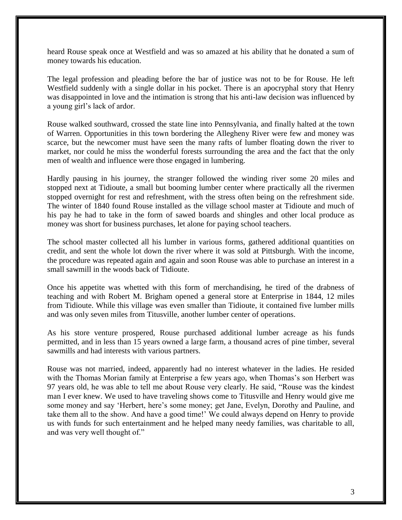heard Rouse speak once at Westfield and was so amazed at his ability that he donated a sum of money towards his education.

The legal profession and pleading before the bar of justice was not to be for Rouse. He left Westfield suddenly with a single dollar in his pocket. There is an apocryphal story that Henry was disappointed in love and the intimation is strong that his anti-law decision was influenced by a young girl's lack of ardor.

Rouse walked southward, crossed the state line into Pennsylvania, and finally halted at the town of Warren. Opportunities in this town bordering the Allegheny River were few and money was scarce, but the newcomer must have seen the many rafts of lumber floating down the river to market, nor could he miss the wonderful forests surrounding the area and the fact that the only men of wealth and influence were those engaged in lumbering.

Hardly pausing in his journey, the stranger followed the winding river some 20 miles and stopped next at Tidioute, a small but booming lumber center where practically all the rivermen stopped overnight for rest and refreshment, with the stress often being on the refreshment side. The winter of 1840 found Rouse installed as the village school master at Tidioute and much of his pay he had to take in the form of sawed boards and shingles and other local produce as money was short for business purchases, let alone for paying school teachers.

The school master collected all his lumber in various forms, gathered additional quantities on credit, and sent the whole lot down the river where it was sold at Pittsburgh. With the income, the procedure was repeated again and again and soon Rouse was able to purchase an interest in a small sawmill in the woods back of Tidioute.

Once his appetite was whetted with this form of merchandising, he tired of the drabness of teaching and with Robert M. Brigham opened a general store at Enterprise in 1844, 12 miles from Tidioute. While this village was even smaller than Tidioute, it contained five lumber mills and was only seven miles from Titusville, another lumber center of operations.

As his store venture prospered, Rouse purchased additional lumber acreage as his funds permitted, and in less than 15 years owned a large farm, a thousand acres of pine timber, several sawmills and had interests with various partners.

Rouse was not married, indeed, apparently had no interest whatever in the ladies. He resided with the Thomas Morian family at Enterprise a few years ago, when Thomas's son Herbert was 97 years old, he was able to tell me about Rouse very clearly. He said, "Rouse was the kindest man I ever knew. We used to have traveling shows come to Titusville and Henry would give me some money and say 'Herbert, here's some money; get Jane, Evelyn, Dorothy and Pauline, and take them all to the show. And have a good time!' We could always depend on Henry to provide us with funds for such entertainment and he helped many needy families, was charitable to all, and was very well thought of."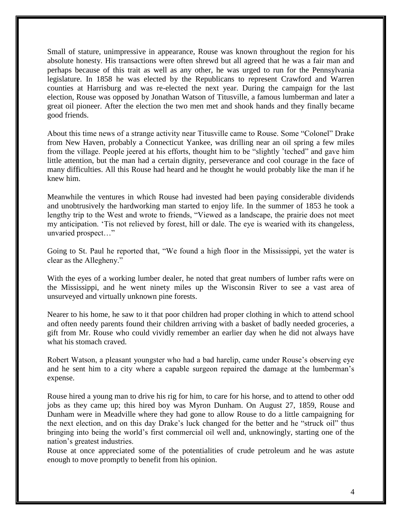Small of stature, unimpressive in appearance, Rouse was known throughout the region for his absolute honesty. His transactions were often shrewd but all agreed that he was a fair man and perhaps because of this trait as well as any other, he was urged to run for the Pennsylvania legislature. In 1858 he was elected by the Republicans to represent Crawford and Warren counties at Harrisburg and was re-elected the next year. During the campaign for the last election, Rouse was opposed by Jonathan Watson of Titusville, a famous lumberman and later a great oil pioneer. After the election the two men met and shook hands and they finally became good friends.

About this time news of a strange activity near Titusville came to Rouse. Some "Colonel" Drake from New Haven, probably a Connecticut Yankee, was drilling near an oil spring a few miles from the village. People jeered at his efforts, thought him to be "slightly 'teched" and gave him little attention, but the man had a certain dignity, perseverance and cool courage in the face of many difficulties. All this Rouse had heard and he thought he would probably like the man if he knew him.

Meanwhile the ventures in which Rouse had invested had been paying considerable dividends and unobtrusively the hardworking man started to enjoy life. In the summer of 1853 he took a lengthy trip to the West and wrote to friends, "Viewed as a landscape, the prairie does not meet my anticipation. 'Tis not relieved by forest, hill or dale. The eye is wearied with its changeless, unvaried prospect…"

Going to St. Paul he reported that, "We found a high floor in the Mississippi, yet the water is clear as the Allegheny."

With the eyes of a working lumber dealer, he noted that great numbers of lumber rafts were on the Mississippi, and he went ninety miles up the Wisconsin River to see a vast area of unsurveyed and virtually unknown pine forests.

Nearer to his home, he saw to it that poor children had proper clothing in which to attend school and often needy parents found their children arriving with a basket of badly needed groceries, a gift from Mr. Rouse who could vividly remember an earlier day when he did not always have what his stomach craved.

Robert Watson, a pleasant youngster who had a bad harelip, came under Rouse's observing eye and he sent him to a city where a capable surgeon repaired the damage at the lumberman's expense.

Rouse hired a young man to drive his rig for him, to care for his horse, and to attend to other odd jobs as they came up; this hired boy was Myron Dunham. On August 27, 1859, Rouse and Dunham were in Meadville where they had gone to allow Rouse to do a little campaigning for the next election, and on this day Drake's luck changed for the better and he "struck oil" thus bringing into being the world's first commercial oil well and, unknowingly, starting one of the nation's greatest industries.

Rouse at once appreciated some of the potentialities of crude petroleum and he was astute enough to move promptly to benefit from his opinion.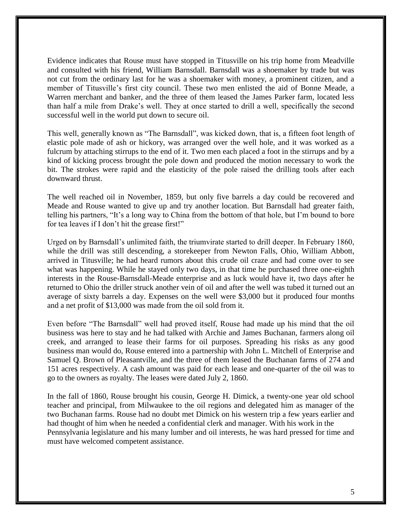Evidence indicates that Rouse must have stopped in Titusville on his trip home from Meadville and consulted with his friend, William Barnsdall. Barnsdall was a shoemaker by trade but was not cut from the ordinary last for he was a shoemaker with money, a prominent citizen, and a member of Titusville's first city council. These two men enlisted the aid of Bonne Meade, a Warren merchant and banker, and the three of them leased the James Parker farm, located less than half a mile from Drake's well. They at once started to drill a well, specifically the second successful well in the world put down to secure oil.

This well, generally known as "The Barnsdall", was kicked down, that is, a fifteen foot length of elastic pole made of ash or hickory, was arranged over the well hole, and it was worked as a fulcrum by attaching stirrups to the end of it. Two men each placed a foot in the stirrups and by a kind of kicking process brought the pole down and produced the motion necessary to work the bit. The strokes were rapid and the elasticity of the pole raised the drilling tools after each downward thrust.

The well reached oil in November, 1859, but only five barrels a day could be recovered and Meade and Rouse wanted to give up and try another location. But Barnsdall had greater faith, telling his partners, "It's a long way to China from the bottom of that hole, but I'm bound to bore for tea leaves if I don't hit the grease first!"

Urged on by Barnsdall's unlimited faith, the triumvirate started to drill deeper. In February 1860, while the drill was still descending, a storekeeper from Newton Falls, Ohio, William Abbott, arrived in Titusville; he had heard rumors about this crude oil craze and had come over to see what was happening. While he stayed only two days, in that time he purchased three one-eighth interests in the Rouse-Barnsdall-Meade enterprise and as luck would have it, two days after he returned to Ohio the driller struck another vein of oil and after the well was tubed it turned out an average of sixty barrels a day. Expenses on the well were \$3,000 but it produced four months and a net profit of \$13,000 was made from the oil sold from it.

Even before "The Barnsdall" well had proved itself, Rouse had made up his mind that the oil business was here to stay and he had talked with Archie and James Buchanan, farmers along oil creek, and arranged to lease their farms for oil purposes. Spreading his risks as any good business man would do, Rouse entered into a partnership with John L. Mitchell of Enterprise and Samuel Q. Brown of Pleasantville, and the three of them leased the Buchanan farms of 274 and 151 acres respectively. A cash amount was paid for each lease and one-quarter of the oil was to go to the owners as royalty. The leases were dated July 2, 1860.

In the fall of 1860, Rouse brought his cousin, George H. Dimick, a twenty-one year old school teacher and principal, from Milwaukee to the oil regions and delegated him as manager of the two Buchanan farms. Rouse had no doubt met Dimick on his western trip a few years earlier and had thought of him when he needed a confidential clerk and manager. With his work in the Pennsylvania legislature and his many lumber and oil interests, he was hard pressed for time and must have welcomed competent assistance.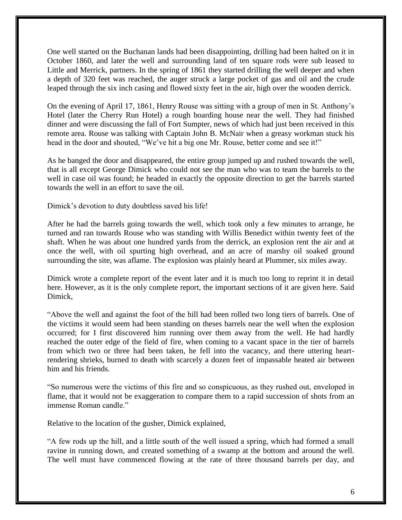One well started on the Buchanan lands had been disappointing, drilling had been halted on it in October 1860, and later the well and surrounding land of ten square rods were sub leased to Little and Merrick, partners. In the spring of 1861 they started drilling the well deeper and when a depth of 320 feet was reached, the auger struck a large pocket of gas and oil and the crude leaped through the six inch casing and flowed sixty feet in the air, high over the wooden derrick.

On the evening of April 17, 1861, Henry Rouse was sitting with a group of men in St. Anthony's Hotel (later the Cherry Run Hotel) a rough boarding house near the well. They had finished dinner and were discussing the fall of Fort Sumpter, news of which had just been received in this remote area. Rouse was talking with Captain John B. McNair when a greasy workman stuck his head in the door and shouted, "We've hit a big one Mr. Rouse, better come and see it!"

As he banged the door and disappeared, the entire group jumped up and rushed towards the well, that is all except George Dimick who could not see the man who was to team the barrels to the well in case oil was found; he headed in exactly the opposite direction to get the barrels started towards the well in an effort to save the oil.

Dimick's devotion to duty doubtless saved his life!

After he had the barrels going towards the well, which took only a few minutes to arrange, he turned and ran towards Rouse who was standing with Willis Benedict within twenty feet of the shaft. When he was about one hundred yards from the derrick, an explosion rent the air and at once the well, with oil spurting high overhead, and an acre of marshy oil soaked ground surrounding the site, was aflame. The explosion was plainly heard at Plummer, six miles away.

Dimick wrote a complete report of the event later and it is much too long to reprint it in detail here. However, as it is the only complete report, the important sections of it are given here. Said Dimick,

"Above the well and against the foot of the hill had been rolled two long tiers of barrels. One of the victims it would seem had been standing on theses barrels near the well when the explosion occurred; for I first discovered him running over them away from the well. He had hardly reached the outer edge of the field of fire, when coming to a vacant space in the tier of barrels from which two or three had been taken, he fell into the vacancy, and there uttering heartrendering shrieks, burned to death with scarcely a dozen feet of impassable heated air between him and his friends.

"So numerous were the victims of this fire and so conspicuous, as they rushed out, enveloped in flame, that it would not be exaggeration to compare them to a rapid succession of shots from an immense Roman candle."

Relative to the location of the gusher, Dimick explained,

"A few rods up the hill, and a little south of the well issued a spring, which had formed a small ravine in running down, and created something of a swamp at the bottom and around the well. The well must have commenced flowing at the rate of three thousand barrels per day, and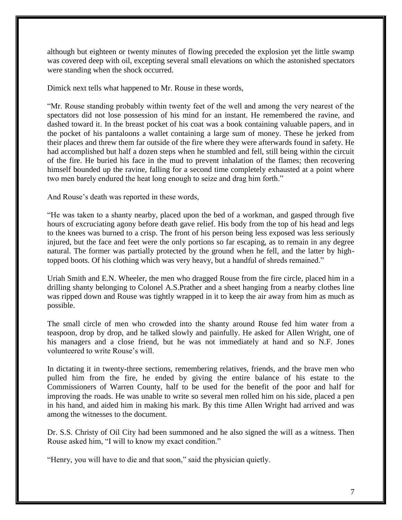although but eighteen or twenty minutes of flowing preceded the explosion yet the little swamp was covered deep with oil, excepting several small elevations on which the astonished spectators were standing when the shock occurred.

Dimick next tells what happened to Mr. Rouse in these words,

"Mr. Rouse standing probably within twenty feet of the well and among the very nearest of the spectators did not lose possession of his mind for an instant. He remembered the ravine, and dashed toward it. In the breast pocket of his coat was a book containing valuable papers, and in the pocket of his pantaloons a wallet containing a large sum of money. These he jerked from their places and threw them far outside of the fire where they were afterwards found in safety. He had accomplished but half a dozen steps when he stumbled and fell, still being within the circuit of the fire. He buried his face in the mud to prevent inhalation of the flames; then recovering himself bounded up the ravine, falling for a second time completely exhausted at a point where two men barely endured the heat long enough to seize and drag him forth."

And Rouse's death was reported in these words,

"He was taken to a shanty nearby, placed upon the bed of a workman, and gasped through five hours of excruciating agony before death gave relief. His body from the top of his head and legs to the knees was burned to a crisp. The front of his person being less exposed was less seriously injured, but the face and feet were the only portions so far escaping, as to remain in any degree natural. The former was partially protected by the ground when he fell, and the latter by hightopped boots. Of his clothing which was very heavy, but a handful of shreds remained."

Uriah Smith and E.N. Wheeler, the men who dragged Rouse from the fire circle, placed him in a drilling shanty belonging to Colonel A.S.Prather and a sheet hanging from a nearby clothes line was ripped down and Rouse was tightly wrapped in it to keep the air away from him as much as possible.

The small circle of men who crowded into the shanty around Rouse fed him water from a teaspoon, drop by drop, and he talked slowly and painfully. He asked for Allen Wright, one of his managers and a close friend, but he was not immediately at hand and so N.F. Jones volunteered to write Rouse's will.

In dictating it in twenty-three sections, remembering relatives, friends, and the brave men who pulled him from the fire, he ended by giving the entire balance of his estate to the Commissioners of Warren County, half to be used for the benefit of the poor and half for improving the roads. He was unable to write so several men rolled him on his side, placed a pen in his hand, and aided him in making his mark. By this time Allen Wright had arrived and was among the witnesses to the document.

Dr. S.S. Christy of Oil City had been summoned and he also signed the will as a witness. Then Rouse asked him, "I will to know my exact condition."

"Henry, you will have to die and that soon," said the physician quietly.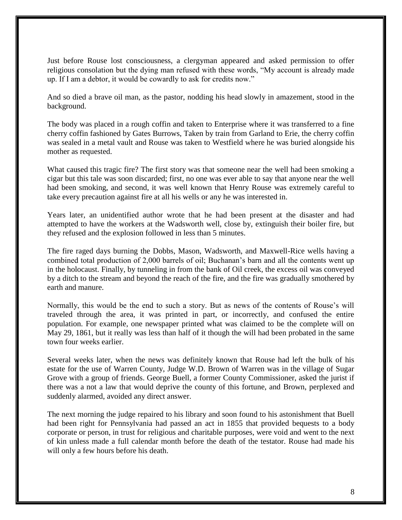Just before Rouse lost consciousness, a clergyman appeared and asked permission to offer religious consolation but the dying man refused with these words, "My account is already made up. If I am a debtor, it would be cowardly to ask for credits now."

And so died a brave oil man, as the pastor, nodding his head slowly in amazement, stood in the background.

The body was placed in a rough coffin and taken to Enterprise where it was transferred to a fine cherry coffin fashioned by Gates Burrows, Taken by train from Garland to Erie, the cherry coffin was sealed in a metal vault and Rouse was taken to Westfield where he was buried alongside his mother as requested.

What caused this tragic fire? The first story was that someone near the well had been smoking a cigar but this tale was soon discarded; first, no one was ever able to say that anyone near the well had been smoking, and second, it was well known that Henry Rouse was extremely careful to take every precaution against fire at all his wells or any he was interested in.

Years later, an unidentified author wrote that he had been present at the disaster and had attempted to have the workers at the Wadsworth well, close by, extinguish their boiler fire, but they refused and the explosion followed in less than 5 minutes.

The fire raged days burning the Dobbs, Mason, Wadsworth, and Maxwell-Rice wells having a combined total production of 2,000 barrels of oil; Buchanan's barn and all the contents went up in the holocaust. Finally, by tunneling in from the bank of Oil creek, the excess oil was conveyed by a ditch to the stream and beyond the reach of the fire, and the fire was gradually smothered by earth and manure.

Normally, this would be the end to such a story. But as news of the contents of Rouse's will traveled through the area, it was printed in part, or incorrectly, and confused the entire population. For example, one newspaper printed what was claimed to be the complete will on May 29, 1861, but it really was less than half of it though the will had been probated in the same town four weeks earlier.

Several weeks later, when the news was definitely known that Rouse had left the bulk of his estate for the use of Warren County, Judge W.D. Brown of Warren was in the village of Sugar Grove with a group of friends. George Buell, a former County Commissioner, asked the jurist if there was a not a law that would deprive the county of this fortune, and Brown, perplexed and suddenly alarmed, avoided any direct answer.

The next morning the judge repaired to his library and soon found to his astonishment that Buell had been right for Pennsylvania had passed an act in 1855 that provided bequests to a body corporate or person, in trust for religious and charitable purposes, were void and went to the next of kin unless made a full calendar month before the death of the testator. Rouse had made his will only a few hours before his death.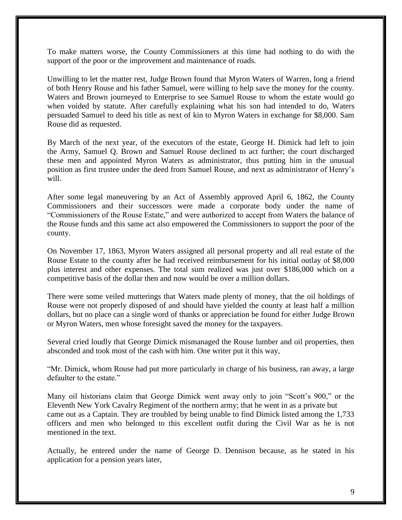To make matters worse, the County Commissioners at this time had nothing to do with the support of the poor or the improvement and maintenance of roads.

Unwilling to let the matter rest, Judge Brown found that Myron Waters of Warren, long a friend of both Henry Rouse and his father Samuel, were willing to help save the money for the county. Waters and Brown journeyed to Enterprise to see Samuel Rouse to whom the estate would go when voided by statute. After carefully explaining what his son had intended to do, Waters persuaded Samuel to deed his title as next of kin to Myron Waters in exchange for \$8,000. Sam Rouse did as requested.

By March of the next year, of the executors of the estate, George H. Dimick had left to join the Army, Samuel Q. Brown and Samuel Rouse declined to act further; the court discharged these men and appointed Myron Waters as administrator, thus putting him in the unusual position as first trustee under the deed from Samuel Rouse, and next as administrator of Henry's will.

After some legal maneuvering by an Act of Assembly approved April 6, 1862, the County Commissioners and their successors were made a corporate body under the name of "Commissioners of the Rouse Estate," and were authorized to accept from Waters the balance of the Rouse funds and this same act also empowered the Commissioners to support the poor of the county.

On November 17, 1863, Myron Waters assigned all personal property and all real estate of the Rouse Estate to the county after he had received reimbursement for his initial outlay of \$8,000 plus interest and other expenses. The total sum realized was just over \$186,000 which on a competitive basis of the dollar then and now would be over a million dollars.

There were some veiled mutterings that Waters made plenty of money, that the oil holdings of Rouse were not properly disposed of and should have yielded the county at least half a million dollars, but no place can a single word of thanks or appreciation be found for either Judge Brown or Myron Waters, men whose foresight saved the money for the taxpayers.

Several cried loudly that George Dimick mismanaged the Rouse lumber and oil properties, then absconded and took most of the cash with him. One writer put it this way,

"Mr. Dimick, whom Rouse had put more particularly in charge of his business, ran away, a large defaulter to the estate."

Many oil historians claim that George Dimick went away only to join "Scott's 900," or the Eleventh New York Cavalry Regiment of the northern army; that he went in as a private but came out as a Captain. They are troubled by being unable to find Dimick listed among the 1,733 officers and men who belonged to this excellent outfit during the Civil War as he is not mentioned in the text.

Actually, he entered under the name of George D. Dennison because, as he stated in his application for a pension years later,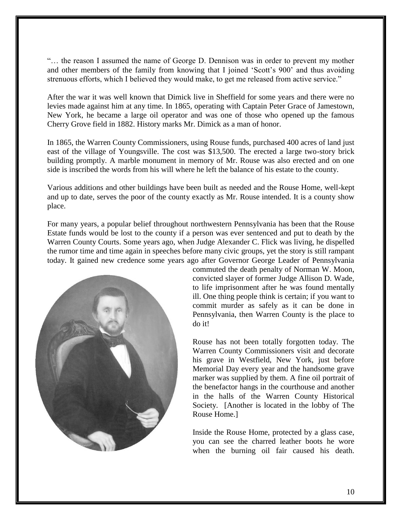"… the reason I assumed the name of George D. Dennison was in order to prevent my mother and other members of the family from knowing that I joined 'Scott's 900' and thus avoiding strenuous efforts, which I believed they would make, to get me released from active service."

After the war it was well known that Dimick live in Sheffield for some years and there were no levies made against him at any time. In 1865, operating with Captain Peter Grace of Jamestown, New York, he became a large oil operator and was one of those who opened up the famous Cherry Grove field in 1882. History marks Mr. Dimick as a man of honor.

In 1865, the Warren County Commissioners, using Rouse funds, purchased 400 acres of land just east of the village of Youngsville. The cost was \$13,500. The erected a large two-story brick building promptly. A marble monument in memory of Mr. Rouse was also erected and on one side is inscribed the words from his will where he left the balance of his estate to the county.

Various additions and other buildings have been built as needed and the Rouse Home, well-kept and up to date, serves the poor of the county exactly as Mr. Rouse intended. It is a county show place.

For many years, a popular belief throughout northwestern Pennsylvania has been that the Rouse Estate funds would be lost to the county if a person was ever sentenced and put to death by the Warren County Courts. Some years ago, when Judge Alexander C. Flick was living, he dispelled the rumor time and time again in speeches before many civic groups, yet the story is still rampant today. It gained new credence some years ago after Governor George Leader of Pennsylvania



commuted the death penalty of Norman W. Moon, convicted slayer of former Judge Allison D. Wade, to life imprisonment after he was found mentally ill. One thing people think is certain; if you want to commit murder as safely as it can be done in Pennsylvania, then Warren County is the place to do it!

Rouse has not been totally forgotten today. The Warren County Commissioners visit and decorate his grave in Westfield, New York, just before Memorial Day every year and the handsome grave marker was supplied by them. A fine oil portrait of the benefactor hangs in the courthouse and another in the halls of the Warren County Historical Society. [Another is located in the lobby of The Rouse Home.]

Inside the Rouse Home, protected by a glass case, you can see the charred leather boots he wore when the burning oil fair caused his death.